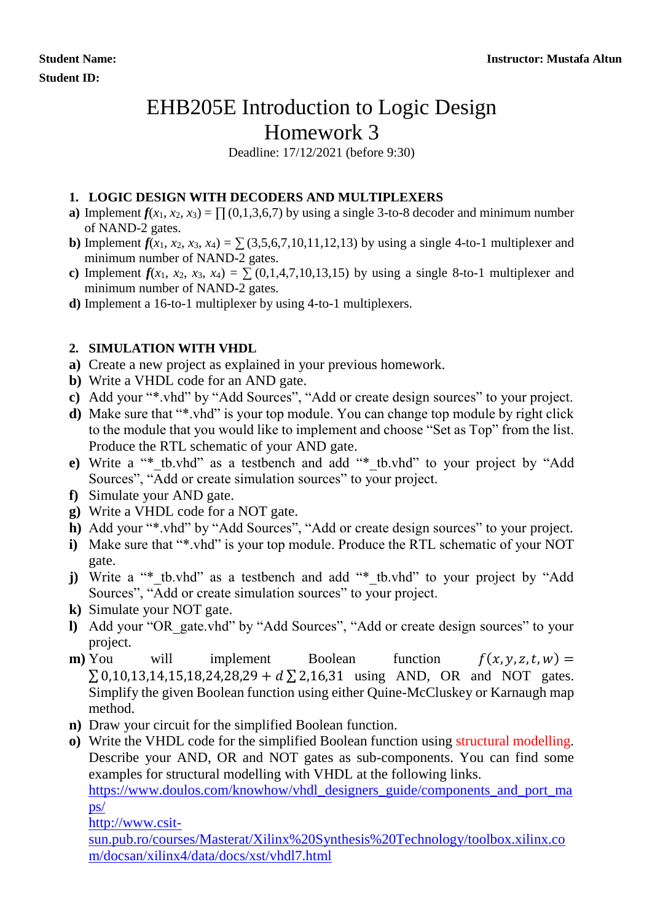## EHB205E Introduction to Logic Design Homework 3

Deadline: 17/12/2021 (before 9:30)

## **1. LOGIC DESIGN WITH DECODERS AND MULTIPLEXERS**

- **a**) Implement  $f(x_1, x_2, x_3) = \prod_{i=1}^{n} (0, 1, 3, 6, 7)$  by using a single 3-to-8 decoder and minimum number of NAND-2 gates.
- **b**) Implement  $f(x_1, x_2, x_3, x_4) = \sum (3, 5, 6, 7, 10, 11, 12, 13)$  by using a single 4-to-1 multiplexer and minimum number of NAND-2 gates.
- **c**) Implement  $f(x_1, x_2, x_3, x_4) = \sum (0, 1, 4, 7, 10, 13, 15)$  by using a single 8-to-1 multiplexer and minimum number of NAND-2 gates.
- **d)** Implement a 16-to-1 multiplexer by using 4-to-1 multiplexers.

## **2. SIMULATION WITH VHDL**

- **a)** Create a new project as explained in your previous homework.
- **b)** Write a VHDL code for an AND gate.
- **c)** Add your "\*.vhd" by "Add Sources", "Add or create design sources" to your project.
- **d)** Make sure that "\*.vhd" is your top module. You can change top module by right click to the module that you would like to implement and choose "Set as Top" from the list. Produce the RTL schematic of your AND gate.
- **e)** Write a "\*\_tb.vhd" as a testbench and add "\*\_tb.vhd" to your project by "Add Sources", "Add or create simulation sources" to your project.
- **f)** Simulate your AND gate.
- **g)** Write a VHDL code for a NOT gate.
- **h**) Add your "\*.vhd" by "Add Sources", "Add or create design sources" to your project.
- **i)** Make sure that "\*.vhd" is your top module. Produce the RTL schematic of your NOT gate.
- **j**) Write a "\* tb.vhd" as a testbench and add "\* tb.vhd" to your project by "Add Sources", "Add or create simulation sources" to your project.
- **k)** Simulate your NOT gate.
- **l)** Add your "OR\_gate.vhd" by "Add Sources", "Add or create design sources" to your project.
- **m**) You will implement Boolean function  $f(x, y, z, t, w) =$  $\Sigma$  0,10,13,14,15,18,24,28,29 +  $d \Sigma$  2,16,31 using AND, OR and NOT gates. Simplify the given Boolean function using either Quine-McCluskey or Karnaugh map method.
- **n)** Draw your circuit for the simplified Boolean function.
- **o)** Write the VHDL code for the simplified Boolean function using structural modelling. Describe your AND, OR and NOT gates as sub-components. You can find some examples for structural modelling with VHDL at the following links.

[https://www.doulos.com/knowhow/vhdl\\_designers\\_guide/components\\_and\\_port\\_ma](https://www.doulos.com/knowhow/vhdl_designers_guide/components_and_port_maps/)  $ps/$ 

[http://www.csit-](http://www.csit-sun.pub.ro/courses/Masterat/Xilinx%20Synthesis%20Technology/toolbox.xilinx.com/docsan/xilinx4/data/docs/xst/vhdl7.html)

[sun.pub.ro/courses/Masterat/Xilinx%20Synthesis%20Technology/toolbox.xilinx.co](http://www.csit-sun.pub.ro/courses/Masterat/Xilinx%20Synthesis%20Technology/toolbox.xilinx.com/docsan/xilinx4/data/docs/xst/vhdl7.html) [m/docsan/xilinx4/data/docs/xst/vhdl7.html](http://www.csit-sun.pub.ro/courses/Masterat/Xilinx%20Synthesis%20Technology/toolbox.xilinx.com/docsan/xilinx4/data/docs/xst/vhdl7.html)